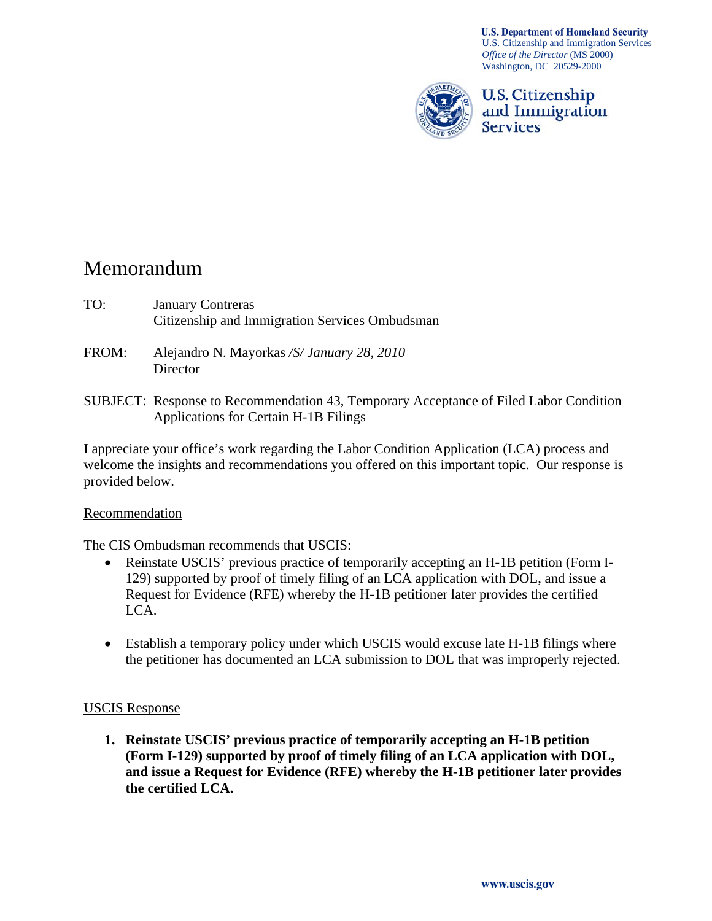**U.S. Department of Homeland Security** U.S. Citizenship and Immigration Services *Office of the Director* (MS 2000) Washington, DC 20529-2000



## U.S. Citizenship and Immigration **Services**

# Memorandum

- TO: January Contreras Citizenship and Immigration Services Ombudsman
- FROM: Alejandro N. Mayorkas */S/ January 28, 2010* **Director**
- SUBJECT: Response to Recommendation 43, Temporary Acceptance of Filed Labor Condition Applications for Certain H-1B Filings

I appreciate your office's work regarding the Labor Condition Application (LCA) process and welcome the insights and recommendations you offered on this important topic. Our response is provided below.

## Recommendation

The CIS Ombudsman recommends that USCIS:

- Reinstate USCIS' previous practice of temporarily accepting an H-1B petition (Form I-129) supported by proof of timely filing of an LCA application with DOL, and issue a Request for Evidence (RFE) whereby the H-1B petitioner later provides the certified LCA.
- Establish a temporary policy under which USCIS would excuse late H-1B filings where the petitioner has documented an LCA submission to DOL that was improperly rejected.

## USCIS Response

**1. Reinstate USCIS' previous practice of temporarily accepting an H-1B petition (Form I-129) supported by proof of timely filing of an LCA application with DOL, and issue a Request for Evidence (RFE) whereby the H-1B petitioner later provides the certified LCA.**